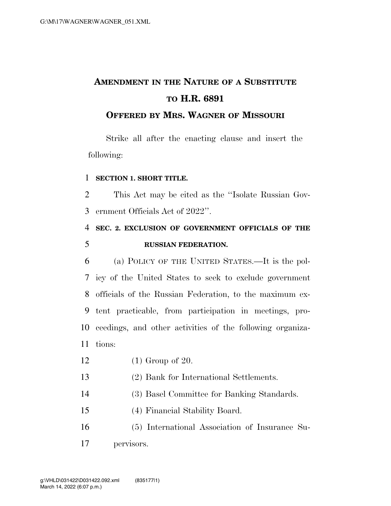# **AMENDMENT IN THE NATURE OF A SUBSTITUTE TO H.R. 6891**

### **OFFERED BY MRS. WAGNER OF MISSOURI**

Strike all after the enacting clause and insert the following:

#### **SECTION 1. SHORT TITLE.**

 This Act may be cited as the ''Isolate Russian Gov-ernment Officials Act of 2022''.

# **SEC. 2. EXCLUSION OF GOVERNMENT OFFICIALS OF THE RUSSIAN FEDERATION.**

 (a) POLICY OF THE UNITED STATES.—It is the pol- icy of the United States to seek to exclude government officials of the Russian Federation, to the maximum ex- tent practicable, from participation in meetings, pro- ceedings, and other activities of the following organiza-tions:

- (1) Group of 20.
- (2) Bank for International Settlements.
- (3) Basel Committee for Banking Standards.
- (4) Financial Stability Board.

 (5) International Association of Insurance Su-pervisors.